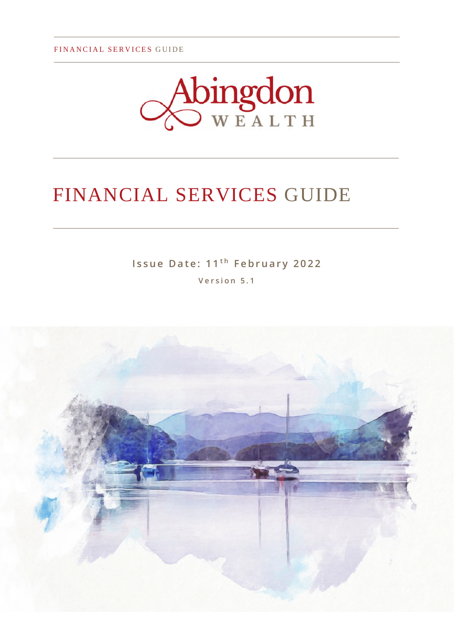

**Issue Date: 11<sup>th</sup> February 2022 V e r s i o n 5 . 1**

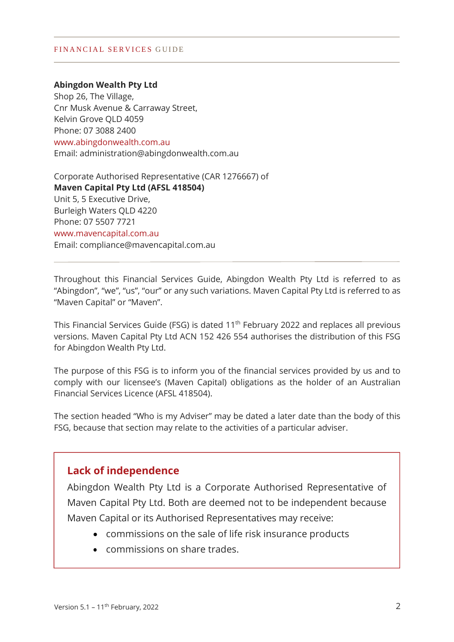#### **Abingdon Wealth Pty Ltd**

Shop 26, The Village, Cnr Musk Avenue & Carraway Street, Kelvin Grove QLD 4059 Phone: 07 3088 2400 www.abingdonwealth.com.au Email: administration@abingdonwealth.com.au

Corporate Authorised Representative (CAR 1276667) of **Maven Capital Pty Ltd (AFSL 418504)**  Unit 5, 5 Executive Drive, Burleigh Waters QLD 4220 Phone: 07 5507 7721 www.mavencapital.com.au Email: compliance@mavencapital.com.au

Throughout this Financial Services Guide, Abingdon Wealth Pty Ltd is referred to as "Abingdon", "we", "us", "our" or any such variations. Maven Capital Pty Ltd is referred to as "Maven Capital" or "Maven".

This Financial Services Guide (FSG) is dated 11<sup>th</sup> February 2022 and replaces all previous versions. Maven Capital Pty Ltd ACN 152 426 554 authorises the distribution of this FSG for Abingdon Wealth Pty Ltd.

The purpose of this FSG is to inform you of the financial services provided by us and to comply with our licensee's (Maven Capital) obligations as the holder of an Australian Financial Services Licence (AFSL 418504).

The section headed "Who is my Adviser" may be dated a later date than the body of this FSG, because that section may relate to the activities of a particular adviser.

## **Lack of independence**

Abingdon Wealth Pty Ltd is a Corporate Authorised Representative of Maven Capital Pty Ltd. Both are deemed not to be independent because Maven Capital or its Authorised Representatives may receive:

- commissions on the sale of life risk insurance products
- commissions on share trades.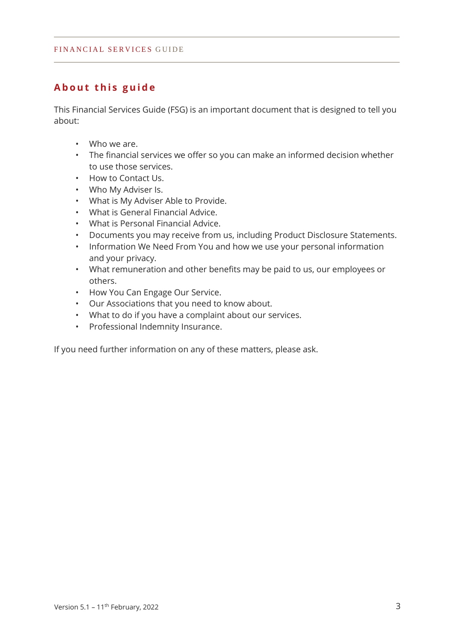# **About this guide**

This Financial Services Guide (FSG) is an important document that is designed to tell you about:

- Who we are.
- The financial services we offer so you can make an informed decision whether to use those services.
- How to Contact Us.
- Who My Adviser Is.
- What is My Adviser Able to Provide.
- What is General Financial Advice.
- What is Personal Financial Advice.
- Documents you may receive from us, including Product Disclosure Statements.
- Information We Need From You and how we use your personal information and your privacy.
- What remuneration and other benefits may be paid to us, our employees or others.
- How You Can Engage Our Service.
- Our Associations that you need to know about.
- What to do if you have a complaint about our services.
- Professional Indemnity Insurance.

If you need further information on any of these matters, please ask.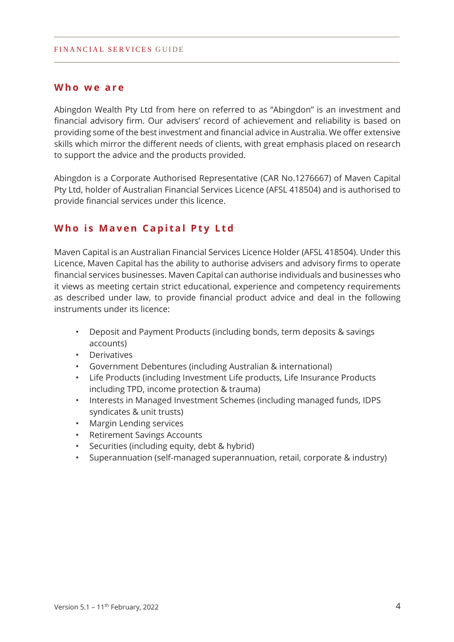#### Who we are

Abingdon Wealth Pty Ltd from here on referred to as "Abingdon" is an investment and financial advisory firm. Our advisers' record of achievement and reliability is based on providing some of the best investment and financial advice in Australia. We offer extensive skills which mirror the different needs of clients, with great emphasis placed on research to support the advice and the products provided.

Abingdon is a Corporate Authorised Representative (CAR No.1276667) of Maven Capital Pty Ltd, holder of Australian Financial Services Licence (AFSL 418504) and is authorised to provide financial services under this licence.

# **Who is Maven Capital Pty Ltd**

Maven Capital is an Australian Financial Services Licence Holder (AFSL 418504). Under this Licence, Maven Capital has the ability to authorise advisers and advisory firms to operate financial services businesses. Maven Capital can authorise individuals and businesses who it views as meeting certain strict educational, experience and competency requirements as described under law, to provide financial product advice and deal in the following instruments under its licence:

- Deposit and Payment Products (including bonds, term deposits & savings accounts)
- Derivatives
- Government Debentures (including Australian & international)
- Life Products (including Investment Life products, Life Insurance Products including TPD, income protection & trauma)
- Interests in Managed Investment Schemes (including managed funds, IDPS syndicates & unit trusts)
- Margin Lending services
- Retirement Savings Accounts
- Securities (including equity, debt & hybrid)
- Superannuation (self-managed superannuation, retail, corporate & industry)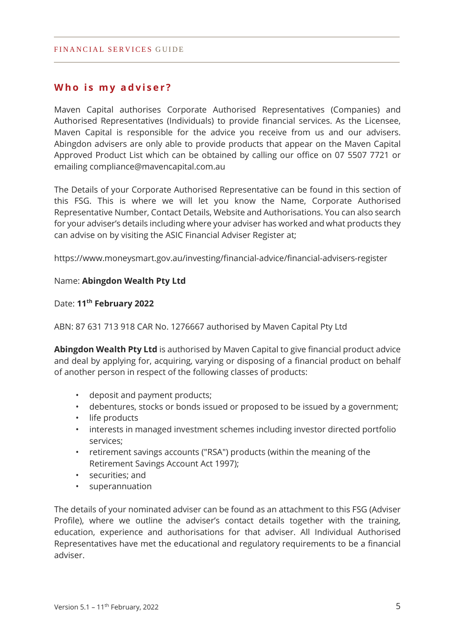# Who is my adviser?

Maven Capital authorises Corporate Authorised Representatives (Companies) and Authorised Representatives (Individuals) to provide financial services. As the Licensee, Maven Capital is responsible for the advice you receive from us and our advisers. Abingdon advisers are only able to provide products that appear on the Maven Capital Approved Product List which can be obtained by calling our office on 07 5507 7721 or emailing compliance@mavencapital.com.au

The Details of your Corporate Authorised Representative can be found in this section of this FSG. This is where we will let you know the Name, Corporate Authorised Representative Number, Contact Details, Website and Authorisations. You can also search for your adviser's details including where your adviser has worked and what products they can advise on by visiting the ASIC Financial Adviser Register at;

https://www.moneysmart.gov.au/investing/financial-advice/financial-advisers-register

#### Name: **Abingdon Wealth Pty Ltd**

Date: **11th February 2022**

ABN: 87 631 713 918 CAR No. 1276667 authorised by Maven Capital Pty Ltd

**Abingdon Wealth Pty Ltd** is authorised by Maven Capital to give financial product advice and deal by applying for, acquiring, varying or disposing of a financial product on behalf of another person in respect of the following classes of products:

- deposit and payment products;
- debentures, stocks or bonds issued or proposed to be issued by a government;
- life products
- interests in managed investment schemes including investor directed portfolio services;
- retirement savings accounts ("RSA") products (within the meaning of the Retirement Savings Account Act 1997);
- securities; and
- superannuation

The details of your nominated adviser can be found as an attachment to this FSG (Adviser Profile), where we outline the adviser's contact details together with the training, education, experience and authorisations for that adviser. All Individual Authorised Representatives have met the educational and regulatory requirements to be a financial adviser.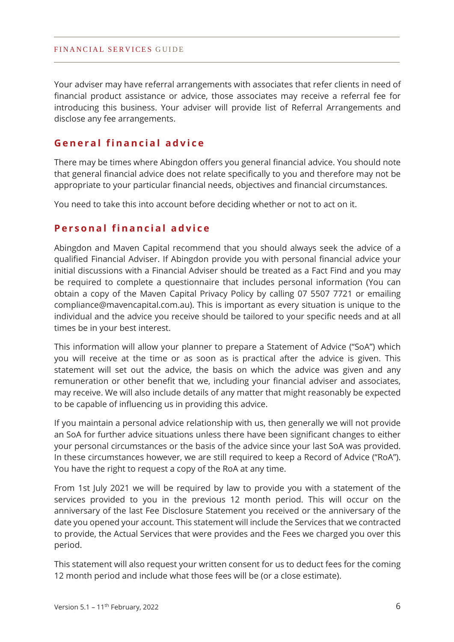Your adviser may have referral arrangements with associates that refer clients in need of financial product assistance or advice, those associates may receive a referral fee for introducing this business. Your adviser will provide list of Referral Arrangements and disclose any fee arrangements.

## **G e n e r a l f i n a n c i a l a d v i c e**

There may be times where Abingdon offers you general financial advice. You should note that general financial advice does not relate specifically to you and therefore may not be appropriate to your particular financial needs, objectives and financial circumstances.

You need to take this into account before deciding whether or not to act on it.

## **P e r s o n a l f i n a n c i a l a d v i c e**

Abingdon and Maven Capital recommend that you should always seek the advice of a qualified Financial Adviser. If Abingdon provide you with personal financial advice your initial discussions with a Financial Adviser should be treated as a Fact Find and you may be required to complete a questionnaire that includes personal information (You can obtain a copy of the Maven Capital Privacy Policy by calling 07 5507 7721 or emailing compliance@mavencapital.com.au). This is important as every situation is unique to the individual and the advice you receive should be tailored to your specific needs and at all times be in your best interest.

This information will allow your planner to prepare a Statement of Advice ("SoA") which you will receive at the time or as soon as is practical after the advice is given. This statement will set out the advice, the basis on which the advice was given and any remuneration or other benefit that we, including your financial adviser and associates, may receive. We will also include details of any matter that might reasonably be expected to be capable of influencing us in providing this advice.

If you maintain a personal advice relationship with us, then generally we will not provide an SoA for further advice situations unless there have been significant changes to either your personal circumstances or the basis of the advice since your last SoA was provided. In these circumstances however, we are still required to keep a Record of Advice ("RoA"). You have the right to request a copy of the RoA at any time.

From 1st July 2021 we will be required by law to provide you with a statement of the services provided to you in the previous 12 month period. This will occur on the anniversary of the last Fee Disclosure Statement you received or the anniversary of the date you opened your account. This statement will include the Services that we contracted to provide, the Actual Services that were provides and the Fees we charged you over this period.

This statement will also request your written consent for us to deduct fees for the coming 12 month period and include what those fees will be (or a close estimate).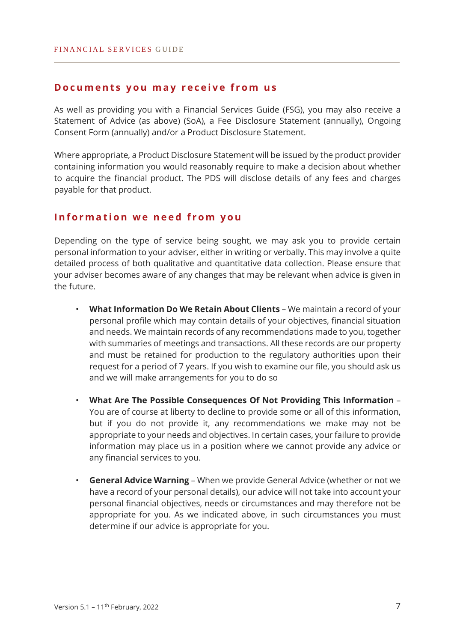#### **Documents you may receive from us**

As well as providing you with a Financial Services Guide (FSG), you may also receive a Statement of Advice (as above) (SoA), a Fee Disclosure Statement (annually), Ongoing Consent Form (annually) and/or a Product Disclosure Statement.

Where appropriate, a Product Disclosure Statement will be issued by the product provider containing information you would reasonably require to make a decision about whether to acquire the financial product. The PDS will disclose details of any fees and charges payable for that product.

## **Information we need from you**

Depending on the type of service being sought, we may ask you to provide certain personal information to your adviser, either in writing or verbally. This may involve a quite detailed process of both qualitative and quantitative data collection. Please ensure that your adviser becomes aware of any changes that may be relevant when advice is given in the future.

- **What Information Do We Retain About Clients** We maintain a record of your personal profile which may contain details of your objectives, financial situation and needs. We maintain records of any recommendations made to you, together with summaries of meetings and transactions. All these records are our property and must be retained for production to the regulatory authorities upon their request for a period of 7 years. If you wish to examine our file, you should ask us and we will make arrangements for you to do so
- **What Are The Possible Consequences Of Not Providing This Information** You are of course at liberty to decline to provide some or all of this information, but if you do not provide it, any recommendations we make may not be appropriate to your needs and objectives. In certain cases, your failure to provide information may place us in a position where we cannot provide any advice or any financial services to you.
- **General Advice Warning** When we provide General Advice (whether or not we have a record of your personal details), our advice will not take into account your personal financial objectives, needs or circumstances and may therefore not be appropriate for you. As we indicated above, in such circumstances you must determine if our advice is appropriate for you.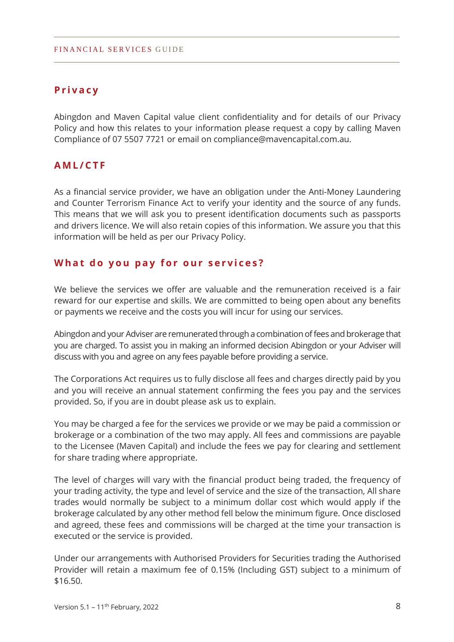## **P r i v a c y**

Abingdon and Maven Capital value client confidentiality and for details of our Privacy Policy and how this relates to your information please request a copy by calling Maven Compliance of 07 5507 7721 or email on compliance@mavencapital.com.au.

# **A M L / C T F**

As a financial service provider, we have an obligation under the Anti-Money Laundering and Counter Terrorism Finance Act to verify your identity and the source of any funds. This means that we will ask you to present identification documents such as passports and drivers licence. We will also retain copies of this information. We assure you that this information will be held as per our Privacy Policy.

## **What do you pay for our services?**

We believe the services we offer are valuable and the remuneration received is a fair reward for our expertise and skills. We are committed to being open about any benefits or payments we receive and the costs you will incur for using our services.

Abingdon and your Adviser are remunerated through a combination of fees and brokerage that you are charged. To assist you in making an informed decision Abingdon or your Adviser will discuss with you and agree on any fees payable before providing a service.

The Corporations Act requires us to fully disclose all fees and charges directly paid by you and you will receive an annual statement confirming the fees you pay and the services provided. So, if you are in doubt please ask us to explain.

You may be charged a fee for the services we provide or we may be paid a commission or brokerage or a combination of the two may apply. All fees and commissions are payable to the Licensee (Maven Capital) and include the fees we pay for clearing and settlement for share trading where appropriate.

The level of charges will vary with the financial product being traded, the frequency of your trading activity, the type and level of service and the size of the transaction, All share trades would normally be subject to a minimum dollar cost which would apply if the brokerage calculated by any other method fell below the minimum figure. Once disclosed and agreed, these fees and commissions will be charged at the time your transaction is executed or the service is provided.

Under our arrangements with Authorised Providers for Securities trading the Authorised Provider will retain a maximum fee of 0.15% (Including GST) subject to a minimum of \$16.50.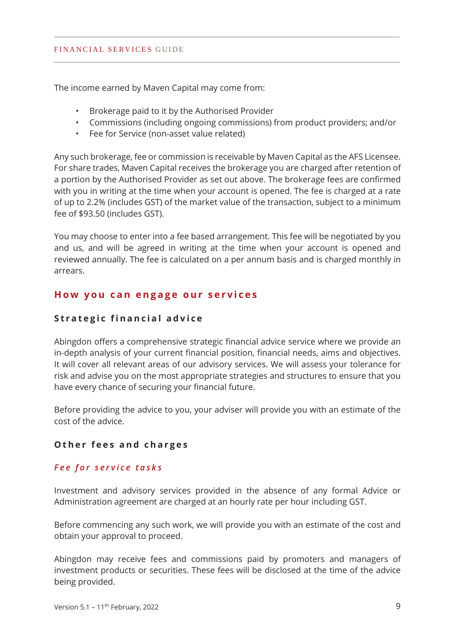The income earned by Maven Capital may come from:

- Brokerage paid to it by the Authorised Provider
- Commissions (including ongoing commissions) from product providers; and/or
- Fee for Service (non-asset value related)

Any such brokerage, fee or commission is receivable by Maven Capital as the AFS Licensee. For share trades, Maven Capital receives the brokerage you are charged after retention of a portion by the Authorised Provider as set out above. The brokerage fees are confirmed with you in writing at the time when your account is opened. The fee is charged at a rate of up to 2.2% (includes GST) of the market value of the transaction, subject to a minimum fee of \$93.50 (includes GST).

You may choose to enter into a fee based arrangement. This fee will be negotiated by you and us, and will be agreed in writing at the time when your account is opened and reviewed annually. The fee is calculated on a per annum basis and is charged monthly in arrears.

#### **How you can engage our services**

## **Strategic financial advice**

Abingdon offers a comprehensive strategic financial advice service where we provide an in-depth analysis of your current financial position, financial needs, aims and objectives. It will cover all relevant areas of our advisory services. We will assess your tolerance for risk and advise you on the most appropriate strategies and structures to ensure that you have every chance of securing your financial future.

Before providing the advice to you, your adviser will provide you with an estimate of the cost of the advice.

#### **Other fees and charges**

#### *Fee for service tasks*

Investment and advisory services provided in the absence of any formal Advice or Administration agreement are charged at an hourly rate per hour including GST.

Before commencing any such work, we will provide you with an estimate of the cost and obtain your approval to proceed.

Abingdon may receive fees and commissions paid by promoters and managers of investment products or securities. These fees will be disclosed at the time of the advice being provided.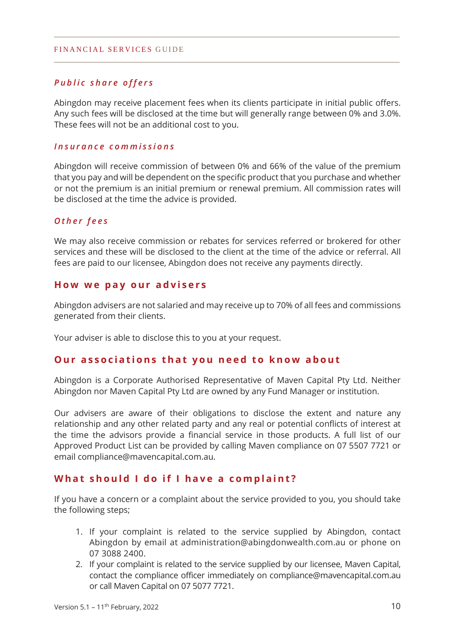## *Public share offers*

Abingdon may receive placement fees when its clients participate in initial public offers. Any such fees will be disclosed at the time but will generally range between 0% and 3.0%. These fees will not be an additional cost to you.

#### *I n s u r a n c e c o m m i s s i o n s*

Abingdon will receive commission of between 0% and 66% of the value of the premium that you pay and will be dependent on the specific product that you purchase and whether or not the premium is an initial premium or renewal premium. All commission rates will be disclosed at the time the advice is provided.

#### *O t h e r f e e s*

We may also receive commission or rebates for services referred or brokered for other services and these will be disclosed to the client at the time of the advice or referral. All fees are paid to our licensee, Abingdon does not receive any payments directly.

#### **How we pay our advisers**

Abingdon advisers are not salaried and may receive up to 70% of all fees and commissions generated from their clients.

Your adviser is able to disclose this to you at your request.

## **Our associations that you need to know about**

Abingdon is a Corporate Authorised Representative of Maven Capital Pty Ltd. Neither Abingdon nor Maven Capital Pty Ltd are owned by any Fund Manager or institution.

Our advisers are aware of their obligations to disclose the extent and nature any relationship and any other related party and any real or potential conflicts of interest at the time the advisors provide a financial service in those products. A full list of our Approved Product List can be provided by calling Maven compliance on 07 5507 7721 or email compliance@mavencapital.com.au.

## **What should I do if I have a complaint?**

If you have a concern or a complaint about the service provided to you, you should take the following steps;

- 1. If your complaint is related to the service supplied by Abingdon, contact Abingdon by email at administration@abingdonwealth.com.au or phone on 07 3088 2400.
- 2. If your complaint is related to the service supplied by our licensee, Maven Capital, contact the compliance officer immediately on compliance@mavencapital.com.au or call Maven Capital on 07 5077 7721.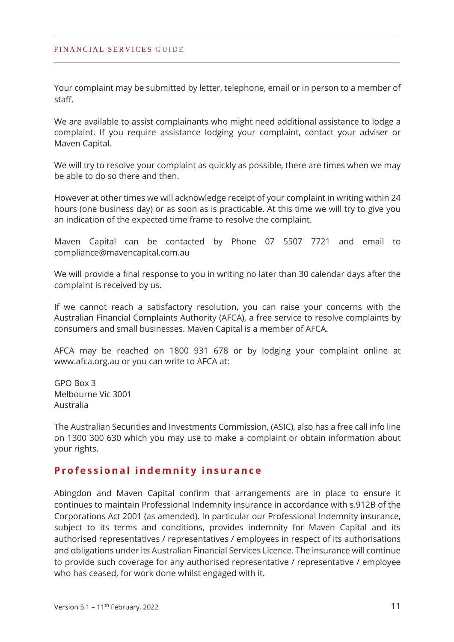Your complaint may be submitted by letter, telephone, email or in person to a member of staff.

We are available to assist complainants who might need additional assistance to lodge a complaint. If you require assistance lodging your complaint, contact your adviser or Maven Capital.

We will try to resolve your complaint as quickly as possible, there are times when we may be able to do so there and then.

However at other times we will acknowledge receipt of your complaint in writing within 24 hours (one business day) or as soon as is practicable. At this time we will try to give you an indication of the expected time frame to resolve the complaint.

Maven Capital can be contacted by Phone 07 5507 7721 and email to compliance@mavencapital.com.au

We will provide a final response to you in writing no later than 30 calendar days after the complaint is received by us.

If we cannot reach a satisfactory resolution, you can raise your concerns with the Australian Financial Complaints Authority (AFCA), a free service to resolve complaints by consumers and small businesses. Maven Capital is a member of AFCA.

AFCA may be reached on 1800 931 678 or by lodging your complaint online at www.afca.org.au or you can write to AFCA at:

GPO Box 3 Melbourne Vic 3001 Australia

The Australian Securities and Investments Commission, (ASIC), also has a free call info line on 1300 300 630 which you may use to make a complaint or obtain information about your rights.

## **Professional indemnity insurance**

Abingdon and Maven Capital confirm that arrangements are in place to ensure it continues to maintain Professional Indemnity insurance in accordance with s.912B of the Corporations Act 2001 (as amended). In particular our Professional Indemnity insurance, subject to its terms and conditions, provides indemnity for Maven Capital and its authorised representatives / representatives / employees in respect of its authorisations and obligations under its Australian Financial Services Licence. The insurance will continue to provide such coverage for any authorised representative / representative / employee who has ceased, for work done whilst engaged with it.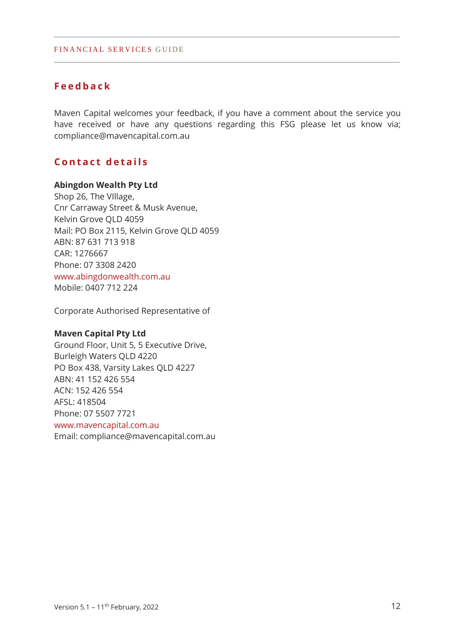# **F e e d b a c k**

Maven Capital welcomes your feedback, if you have a comment about the service you have received or have any questions regarding this FSG please let us know via; compliance@mavencapital.com.au

# **Contact details**

#### **Abingdon Wealth Pty Ltd**

Shop 26, The VIllage, Cnr Carraway Street & Musk Avenue, Kelvin Grove QLD 4059 Mail: PO Box 2115, Kelvin Grove QLD 4059 ABN: 87 631 713 918 CAR: 1276667 Phone: 07 3308 2420 www.abingdonwealth.com.au Mobile: 0407 712 224

Corporate Authorised Representative of

#### **Maven Capital Pty Ltd**

Ground Floor, Unit 5, 5 Executive Drive, Burleigh Waters QLD 4220 PO Box 438, Varsity Lakes QLD 4227 ABN: 41 152 426 554 ACN: 152 426 554 AFSL: 418504 Phone: 07 5507 7721

www.mavencapital.com.au Email: compliance@mavencapital.com.au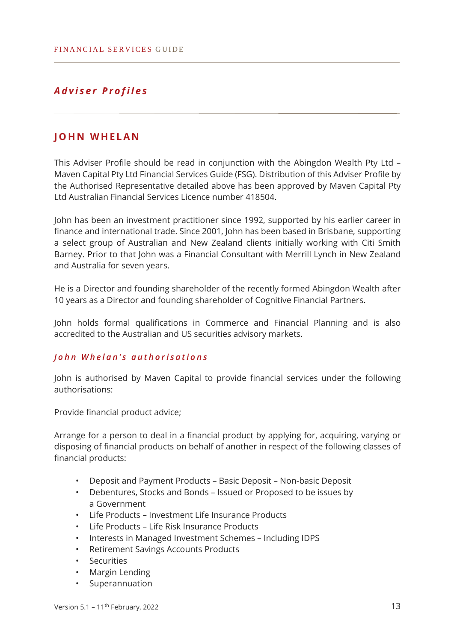# *A d v i s e r P r o f i l e s*

# **J O H N W H E L A N**

This Adviser Profile should be read in conjunction with the Abingdon Wealth Pty Ltd – Maven Capital Pty Ltd Financial Services Guide (FSG). Distribution of this Adviser Profile by the Authorised Representative detailed above has been approved by Maven Capital Pty Ltd Australian Financial Services Licence number 418504.

John has been an investment practitioner since 1992, supported by his earlier career in finance and international trade. Since 2001, John has been based in Brisbane, supporting a select group of Australian and New Zealand clients initially working with Citi Smith Barney. Prior to that John was a Financial Consultant with Merrill Lynch in New Zealand and Australia for seven years.

He is a Director and founding shareholder of the recently formed Abingdon Wealth after 10 years as a Director and founding shareholder of Cognitive Financial Partners.

John holds formal qualifications in Commerce and Financial Planning and is also accredited to the Australian and US securities advisory markets.

#### *J o h n W h e l a n ' s a u t h o r i s a t i o n s*

John is authorised by Maven Capital to provide financial services under the following authorisations:

Provide financial product advice;

Arrange for a person to deal in a financial product by applying for, acquiring, varying or disposing of financial products on behalf of another in respect of the following classes of financial products:

- Deposit and Payment Products Basic Deposit Non-basic Deposit
- Debentures, Stocks and Bonds Issued or Proposed to be issues by a Government
- Life Products Investment Life Insurance Products
- Life Products Life Risk Insurance Products
- Interests in Managed Investment Schemes Including IDPS
- Retirement Savings Accounts Products
- **Securities**
- Margin Lending
- **Superannuation**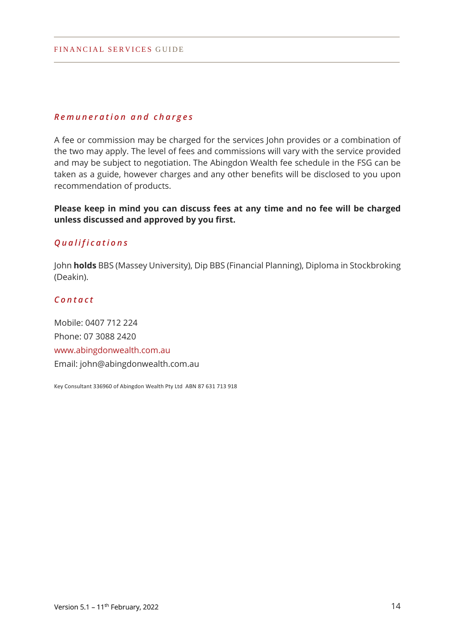#### *R e m u n e r a t i o n a n d c h a r g e s*

A fee or commission may be charged for the services John provides or a combination of the two may apply. The level of fees and commissions will vary with the service provided and may be subject to negotiation. The Abingdon Wealth fee schedule in the FSG can be taken as a guide, however charges and any other benefits will be disclosed to you upon recommendation of products.

**Please keep in mind you can discuss fees at any time and no fee will be charged unless discussed and approved by you first.** 

#### *Q u a l i f i c a t i o n s*

John **holds** BBS (Massey University), Dip BBS (Financial Planning), Diploma in Stockbroking (Deakin).

#### *C o n t a c t*

Mobile: 0407 712 224 Phone: 07 3088 2420 www.abingdonwealth.com.au Email: john@abingdonwealth.com.au

Key Consultant 336960 of Abingdon Wealth Pty Ltd ABN 87 631 713 918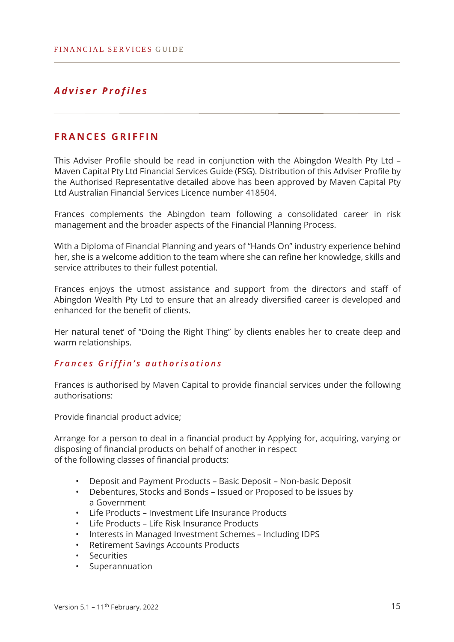# *A d v i s e r P r o f i l e s*

## **FRANCES GRIFFIN**

This Adviser Profile should be read in conjunction with the Abingdon Wealth Pty Ltd – Maven Capital Pty Ltd Financial Services Guide (FSG). Distribution of this Adviser Profile by the Authorised Representative detailed above has been approved by Maven Capital Pty Ltd Australian Financial Services Licence number 418504.

Frances complements the Abingdon team following a consolidated career in risk management and the broader aspects of the Financial Planning Process.

With a Diploma of Financial Planning and years of "Hands On" industry experience behind her, she is a welcome addition to the team where she can refine her knowledge, skills and service attributes to their fullest potential.

Frances enjoys the utmost assistance and support from the directors and staff of Abingdon Wealth Pty Ltd to ensure that an already diversified career is developed and enhanced for the benefit of clients.

Her natural tenet' of "Doing the Right Thing" by clients enables her to create deep and warm relationships.

#### *F r a n c e s G r i f f i n ' s a u t h o r i s a t i o n s*

Frances is authorised by Maven Capital to provide financial services under the following authorisations:

Provide financial product advice;

Arrange for a person to deal in a financial product by Applying for, acquiring, varying or disposing of financial products on behalf of another in respect of the following classes of financial products:

- Deposit and Payment Products Basic Deposit Non-basic Deposit
- Debentures, Stocks and Bonds Issued or Proposed to be issues by a Government
- Life Products Investment Life Insurance Products
- Life Products Life Risk Insurance Products
- Interests in Managed Investment Schemes Including IDPS
- Retirement Savings Accounts Products
- **Securities**
- Superannuation